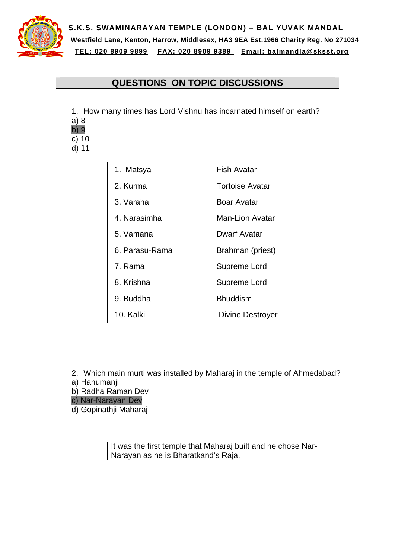

**S.K.S. SWAMINARAYAN TEMPLE (LONDON) – BAL YUVAK MANDAL Westfield Lane, Kenton, Harrow, Middlesex, HA3 9EA Est.1966 Charity Reg. No 271034 TEL: 020 8909 9899 FAX: 020 8909 9389 Email: balmandla@sksst.org**

# **QUESTIONS ON TOPIC DISCUSSIONS**

- 1. How many times has Lord Vishnu has incarnated himself on earth?
- a) 8 b) 9
- c) 10
- d) 11

| 1. Matsya      | Fish Avatar         |
|----------------|---------------------|
| 2. Kurma       | Tortoise Avatar     |
| 3. Varaha      | Boar Avatar         |
| 4. Narasimha   | Man-Lion Avatar     |
| 5. Vamana      | <b>Dwarf Avatar</b> |
| 6. Parasu-Rama | Brahman (priest)    |
| 7. Rama        | Supreme Lord        |
| 8. Krishna     | Supreme Lord        |
| 9. Buddha      | <b>Bhuddism</b>     |
| 10. Kalki      | Divine Destroyer    |
|                |                     |

2. Which main murti was installed by Maharaj in the temple of Ahmedabad?

a) Hanumanji

b) Radha Raman Dev

c) Nar-Narayan Dev

d) Gopinathji Maharaj

 It was the first temple that Maharaj built and he chose Nar-Narayan as he is Bharatkand's Raja.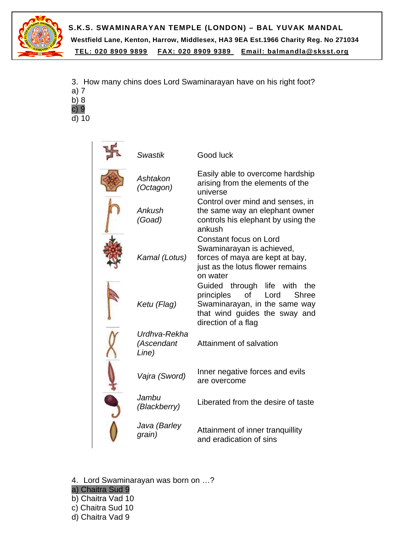

**S.K.S. SWAMINARAYAN TEMPLE (LONDON) – BAL YUVAK MANDAL Westfield Lane, Kenton, Harrow, Middlesex, HA3 9EA Est.1966 Charity Reg. No 271034 TEL: 020 8909 9899 FAX: 020 8909 9389 Email: balmandla@sksst.org**

- 3. How many chins does Lord Swaminarayan have on his right foot?
- a) 7  $\overline{b}$ ) 8
- c) 9
- $\overline{d}$  $\overline{1}$ 0

| <b>Swastik</b>                      | Good luck                                                                                                                                                                     |
|-------------------------------------|-------------------------------------------------------------------------------------------------------------------------------------------------------------------------------|
| Ashtakon<br>(Octagon)               | Easily able to overcome hardship<br>arising from the elements of the<br>universe                                                                                              |
| Ankush<br>(Goad)                    | Control over mind and senses, in<br>the same way an elephant owner<br>controls his elephant by using the<br>ankush                                                            |
| Kamal (Lotus)                       | Constant focus on Lord<br>Swaminarayan is achieved,<br>forces of maya are kept at bay,<br>just as the lotus flower remains<br>on water                                        |
| Ketu (Flag)                         | Guided<br>through<br>life<br>with<br>the<br>0f<br>principles<br>Lord<br><b>Shree</b><br>Swaminarayan, in the same way<br>that wind guides the sway and<br>direction of a flag |
| Urdhva-Rekha<br>(Ascendant<br>Line) | Attainment of salvation                                                                                                                                                       |
| Vajra (Sword)                       | Inner negative forces and evils<br>are overcome                                                                                                                               |
| Jambu<br>(Blackberry)               | Liberated from the desire of taste                                                                                                                                            |
| Java (Barley<br>grain)              | Attainment of inner tranquillity<br>and eradication of sins                                                                                                                   |

- 4. Lord Swaminarayan was born on …?
- a) Chaitra Sud 9
- b) Chaitra Vad 10
- c) Chaitra Sud 10
- d) Chaitra Vad 9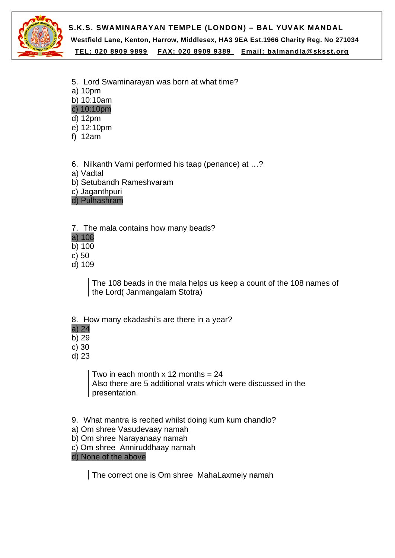

**TEL: 020 8909 9899 FAX: 020 8909 9389 Email: balmandla@sksst.org**

5. Lord Swaminarayan was born at what time?

a) 10pm

b) 10:10am

c) 10:10pm

d) 12pm

e) 12:10pm

f) 12am

6. Nilkanth Varni performed his taap (penance) at …?

a) Vadtal

b) Setubandh Rameshvaram

c) Jaganthpuri

d) Pulhashram

7. The mala contains how many beads?

a) 108

b) 100

- c) 50
- d) 109

 The 108 beads in the mala helps us keep a count of the 108 names of the Lord( Janmangalam Stotra)

- 8. How many ekadashi's are there in a year?
- a) 24
- $\overline{b}$ ) 29
- c) 30
- d) 23

Two in each month  $x$  12 months = 24 Also there are 5 additional vrats which were discussed in the presentation.

- 9. What mantra is recited whilst doing kum kum chandlo?
- a) Om shree Vasudevaay namah
- b) Om shree Narayanaay namah
- c) Om shree Anniruddhaay namah

d) None of the above

The correct one is Om shree MahaLaxmeiy namah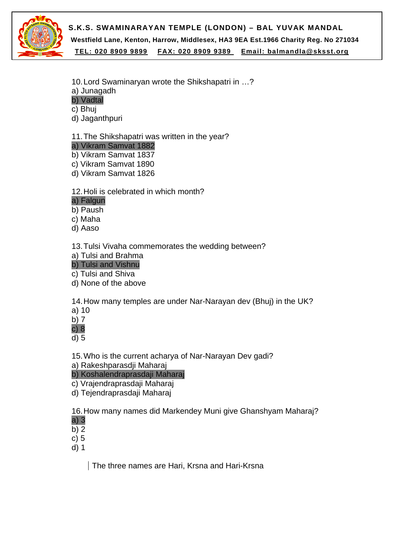

**TEL: 020 8909 9899 FAX: 020 8909 9389 Email: balmandla@sksst.org**

- 10. Lord Swaminaryan wrote the Shikshapatri in …?
- a) Junagadh
- b) Vadtal
- c) Bhuj
- d) Jaganthpuri

11. The Shikshapatri was written in the year?

a) Vikram Samvat 1882

b) Vikram Samvat 1837

- c) Vikram Samvat 1890
- d) Vikram Samvat 1826

12. Holi is celebrated in which month?

### a) Falgun

b) Paush

c) Maha

d) Aaso

13. Tulsi Vivaha commemorates the wedding between?

a) Tulsi and Brahma

b) Tulsi and Vishnu

c) Tulsi and Shiva

d) None of the above

14. How many temples are under Nar-Narayan dev (Bhuj) in the UK?

a) 10

b) 7

c) 8

d) 5

15. Who is the current acharya of Nar-Narayan Dev gadi?

a) Rakeshparasdji Maharaj

## b) Koshalendraprasdaji Maharaj

c) Vrajendraprasdaji Maharaj

d) Tejendraprasdaji Maharaj

16. How many names did Markendey Muni give Ghanshyam Maharaj? a) 3

- b) 2
- c) 5

d) 1

The three names are Hari, Krsna and Hari-Krsna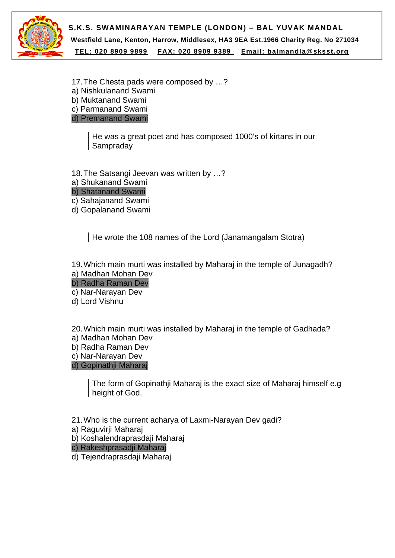

**S.K.S. SWAMINARAYAN TEMPLE (LONDON) – BAL YUVAK MANDAL Westfield Lane, Kenton, Harrow, Middlesex, HA3 9EA Est.1966 Charity Reg. No 271034 TEL: 020 8909 9899 FAX: 020 8909 9389 Email: balmandla@sksst.org**

17. The Chesta pads were composed by …? a) Nishkulanand Swami b) Muktanand Swami c) Parmanand Swami d) Premanand Swami

> He was a great poet and has composed 1000's of kirtans in our Sampraday

18. The Satsangi Jeevan was written by …?

a) Shukanand Swami

b) Shatanand Swami

- c) Sahajanand Swami
- d) Gopalanand Swami

He wrote the 108 names of the Lord (Janamangalam Stotra)

19. Which main murti was installed by Maharaj in the temple of Junagadh?

a) Madhan Mohan Dev

b) Radha Raman Dev

- c) Nar-Narayan Dev
- d) Lord Vishnu

20. Which main murti was installed by Maharaj in the temple of Gadhada?

a) Madhan Mohan Dev

b) Radha Raman Dev

c) Nar-Narayan Dev

d) Gopinathji Maharaj

 The form of Gopinathji Maharaj is the exact size of Maharaj himself e.g height of God.

21. Who is the current acharya of Laxmi-Narayan Dev gadi?

- a) Raguvirji Maharaj
- b) Koshalendraprasdaji Maharaj

c) Rakeshprasadji Maharaj

d) Tejendraprasdaji Maharaj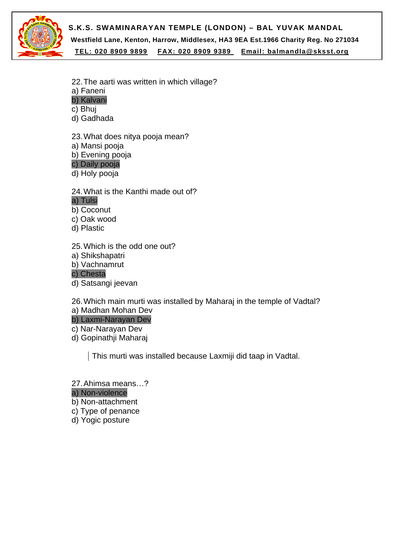

**S.K.S. SWAMINARAYAN TEMPLE (LONDON) – BAL YUVAK MANDAL** 

**Westfield Lane, Kenton, Harrow, Middlesex, HA3 9EA Est.1966 Charity Reg. No 271034** 

**TEL: 020 8909 9899 FAX: 020 8909 9389 Email: balmandla@sksst.org**

- 22. The aarti was written in which village?
- a) Faneni
- b) Kalvani
- c) Bhuj
- d) Gadhada
- 23. What does nitya pooja mean?
- a) Mansi pooja
- b) Evening pooja
- c) Daily pooja
- d) Holy pooja

24. What is the Kanthi made out of?

#### a) Tulsi

- b) Coconut
- c) Oak wood
- d) Plastic
- 25. Which is the odd one out?
- a) Shikshapatri
- b) Vachnamrut
- c) Chesta
- d) Satsangi jeevan

26. Which main murti was installed by Maharaj in the temple of Vadtal?

a) Madhan Mohan Dev

b) Laxmi-Narayan Dev

- c) Nar-Narayan Dev
- d) Gopinathii Maharai

This murti was installed because Laxmiji did taap in Vadtal.

27. Ahimsa means…?

# a) Non-violence

- b) Non-attachment
- c) Type of penance
- d) Yogic posture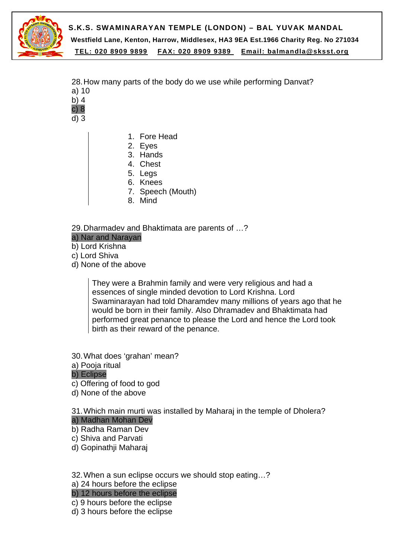

**TEL: 020 8909 9899 FAX: 020 8909 9389 Email: balmandla@sksst.org**

28. How many parts of the body do we use while performing Danvat? a) 10

- b) 4
- c) 8
- d) 3
- 1. Fore Head
- 2. Eyes
- 3. Hands
- 4. Chest
- 5. Legs
- 6. Knees
- 7. Speech (Mouth)
- 8. Mind

29. Dharmadev and Bhaktimata are parents of …?

a) Nar and Narayan

b) Lord Krishna

c) Lord Shiva

d) None of the above

 They were a Brahmin family and were very religious and had a essences of single minded devotion to Lord Krishna. Lord Swaminarayan had told Dharamdev many millions of years ago that he would be born in their family. Also Dhramadev and Bhaktimata had performed great penance to please the Lord and hence the Lord took birth as their reward of the penance.

30. What does 'grahan' mean?

a) Pooja ritual

#### b) Eclipse

- c) Offering of food to god
- d) None of the above

31. Which main murti was installed by Maharaj in the temple of Dholera?

- a) Madhan Mohan Dev
- b) Radha Raman Dev
- c) Shiva and Parvati
- d) Gopinathii Maharai

32. When a sun eclipse occurs we should stop eating…?

a) 24 hours before the eclipse

b) 12 hours before the eclipse

c) 9 hours before the eclipse

d) 3 hours before the eclipse